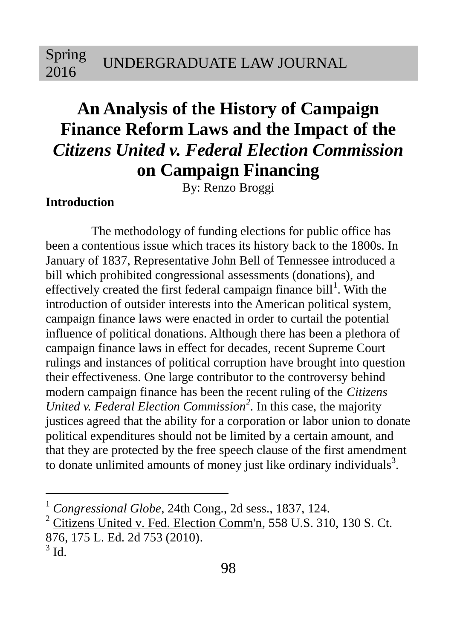# **An Analysis of the History of Campaign Finance Reform Laws and the Impact of the**  *Citizens United v. Federal Election Commission* **on Campaign Financing**

By: Renzo Broggi

### **Introduction**

The methodology of funding elections for public office has been a contentious issue which traces its history back to the 1800s. In January of 1837, Representative John Bell of Tennessee introduced a bill which prohibited congressional assessments (donations), and effectively created the first federal campaign finance bill<sup>1</sup>. With the introduction of outsider interests into the American political system, campaign finance laws were enacted in order to curtail the potential influence of political donations. Although there has been a plethora of campaign finance laws in effect for decades, recent Supreme Court rulings and instances of political corruption have brought into question their effectiveness. One large contributor to the controversy behind modern campaign finance has been the recent ruling of the *Citizens United v. Federal Election Commission<sup>2</sup>* . In this case, the majority justices agreed that the ability for a corporation or labor union to donate political expenditures should not be limited by a certain amount, and that they are protected by the free speech clause of the first amendment to donate unlimited amounts of money just like ordinary individuals<sup>3</sup>.

<sup>1</sup> *Congressional Globe*, 24th Cong., 2d sess., 1837, 124.

 $2$  Citizens United v. Fed. Election Comm'n, 558 U.S. 310, 130 S. Ct.

<sup>876, 175</sup> L. Ed. 2d 753 (2010).

 $3$  Id.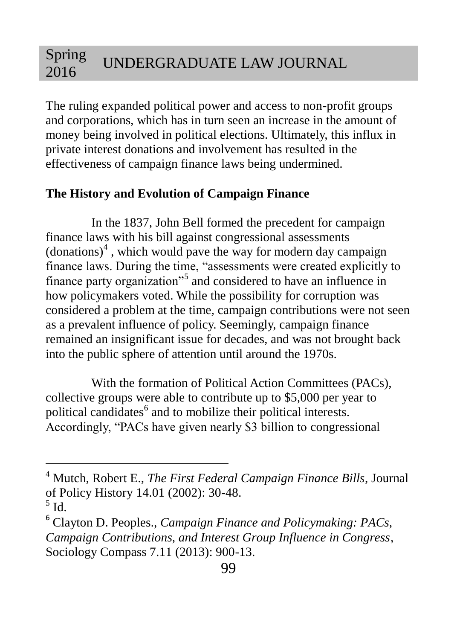The ruling expanded political power and access to non-profit groups and corporations, which has in turn seen an increase in the amount of money being involved in political elections. Ultimately, this influx in private interest donations and involvement has resulted in the effectiveness of campaign finance laws being undermined.

## **The History and Evolution of Campaign Finance**

In the 1837, John Bell formed the precedent for campaign finance laws with his bill against congressional assessments  $\left($  donations $\right)$ <sup>4</sup>, which would pave the way for modern day campaign finance laws. During the time, "assessments were created explicitly to finance party organization"<sup>5</sup> and considered to have an influence in how policymakers voted. While the possibility for corruption was considered a problem at the time, campaign contributions were not seen as a prevalent influence of policy. Seemingly, campaign finance remained an insignificant issue for decades, and was not brought back into the public sphere of attention until around the 1970s.

With the formation of Political Action Committees (PACs), collective groups were able to contribute up to \$5,000 per year to political candidates<sup>6</sup> and to mobilize their political interests. Accordingly, "PACs have given nearly \$3 billion to congressional

<sup>4</sup> Mutch, Robert E., *The First Federal Campaign Finance Bills*, Journal of Policy History 14.01 (2002): 30-48.

 $<sup>5</sup>$  Id.</sup>

<sup>6</sup> Clayton D. Peoples., *Campaign Finance and Policymaking: PACs, Campaign Contributions, and Interest Group Influence in Congress*, Sociology Compass 7.11 (2013): 900-13.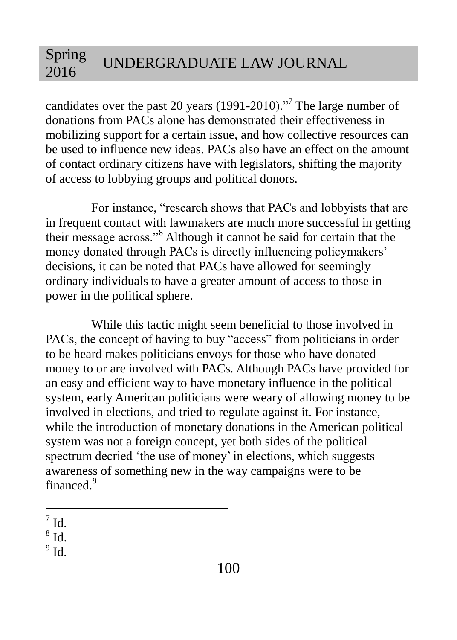candidates over the past 20 years (1991-2010). $\cdot$ <sup>7</sup> The large number of donations from PACs alone has demonstrated their effectiveness in mobilizing support for a certain issue, and how collective resources can be used to influence new ideas. PACs also have an effect on the amount of contact ordinary citizens have with legislators, shifting the majority of access to lobbying groups and political donors.

For instance, "research shows that PACs and lobbyists that are in frequent contact with lawmakers are much more successful in getting their message across."<sup>8</sup> Although it cannot be said for certain that the money donated through PACs is directly influencing policymakers' decisions, it can be noted that PACs have allowed for seemingly ordinary individuals to have a greater amount of access to those in power in the political sphere.

While this tactic might seem beneficial to those involved in PACs, the concept of having to buy "access" from politicians in order to be heard makes politicians envoys for those who have donated money to or are involved with PACs. Although PACs have provided for an easy and efficient way to have monetary influence in the political system, early American politicians were weary of allowing money to be involved in elections, and tried to regulate against it. For instance, while the introduction of monetary donations in the American political system was not a foreign concept, yet both sides of the political spectrum decried 'the use of money' in elections, which suggests awareness of something new in the way campaigns were to be financed<sup>9</sup>

 $^9$  Id.

 $\overline{a}$  $^7$  Id.

 $^8$  Id.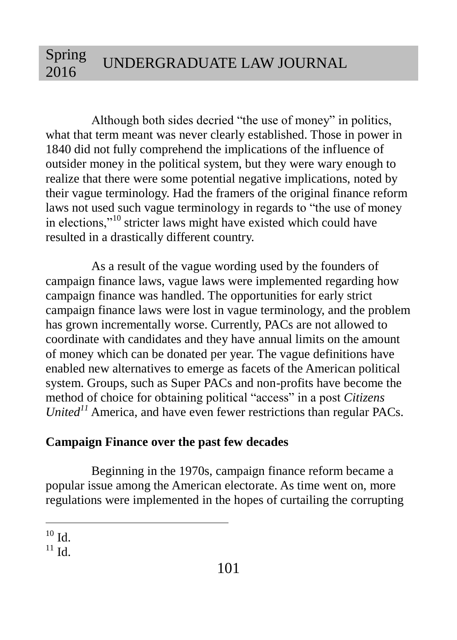Although both sides decried "the use of money" in politics, what that term meant was never clearly established. Those in power in 1840 did not fully comprehend the implications of the influence of outsider money in the political system, but they were wary enough to realize that there were some potential negative implications, noted by their vague terminology. Had the framers of the original finance reform laws not used such vague terminology in regards to "the use of money in elections,"<sup>10</sup> stricter laws might have existed which could have resulted in a drastically different country.

As a result of the vague wording used by the founders of campaign finance laws, vague laws were implemented regarding how campaign finance was handled. The opportunities for early strict campaign finance laws were lost in vague terminology, and the problem has grown incrementally worse. Currently, PACs are not allowed to coordinate with candidates and they have annual limits on the amount of money which can be donated per year. The vague definitions have enabled new alternatives to emerge as facets of the American political system. Groups, such as Super PACs and non-profits have become the method of choice for obtaining political "access" in a post *Citizens United<sup>11</sup>* America, and have even fewer restrictions than regular PACs.

### **Campaign Finance over the past few decades**

Beginning in the 1970s, campaign finance reform became a popular issue among the American electorate. As time went on, more regulations were implemented in the hopes of curtailing the corrupting

 $\overline{a}$  $^{10}$  Id.

 $11$  Id.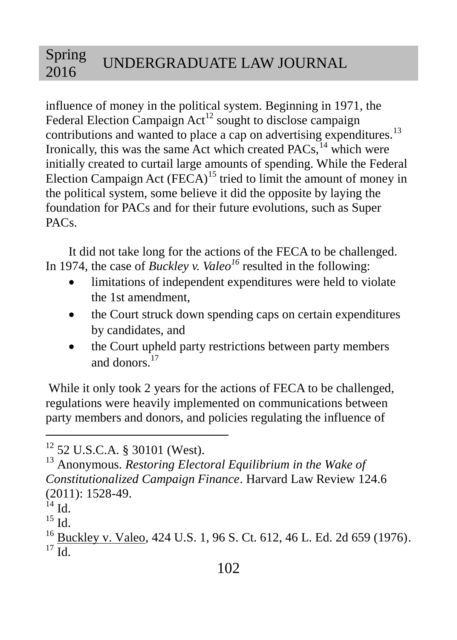influence of money in the political system. Beginning in 1971, the Federal Election Campaign  $Act^{12}$  sought to disclose campaign contributions and wanted to place a cap on advertising expenditures.<sup>13</sup> Ironically, this was the same Act which created  $PACs$ ,  $14$  which were initially created to curtail large amounts of spending. While the Federal Election Campaign Act  $(FECA)^{15}$  tried to limit the amount of money in the political system, some believe it did the opposite by laying the foundation for PACs and for their future evolutions, such as Super PACs.

It did not take long for the actions of the FECA to be challenged. In 1974, the case of *Buckley v. Valeo<sup>16</sup>* resulted in the following:

- limitations of independent expenditures were held to violate the 1st amendment,
- the Court struck down spending caps on certain expenditures by candidates, and
- the Court upheld party restrictions between party members and donors.<sup>17</sup>

While it only took 2 years for the actions of FECA to be challenged, regulations were heavily implemented on communications between party members and donors, and policies regulating the influence of

 $12$  52 U.S.C.A. § 30101 (West).

<sup>13</sup> Anonymous. *Restoring Electoral Equilibrium in the Wake of Constitutionalized Campaign Finance*. Harvard Law Review 124.6 (2011): 1528-49.

 $^{14}$  Id.

 $^{15}$  Id.

<sup>&</sup>lt;sup>16</sup> Buckley v. Valeo, 424 U.S. 1, 96 S. Ct. 612, 46 L. Ed. 2d 659 (1976).  $^{17}$  Id.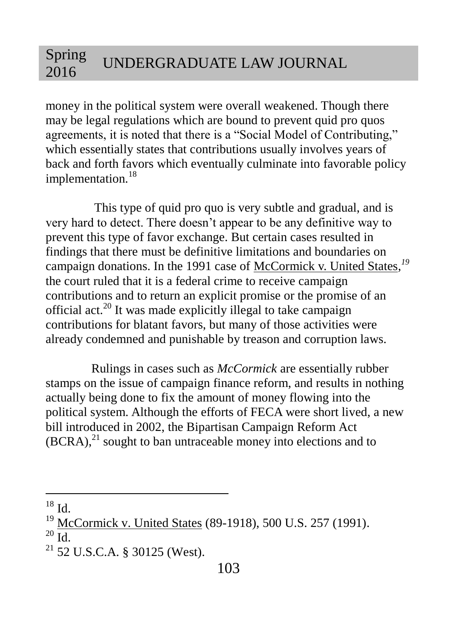money in the political system were overall weakened. Though there may be legal regulations which are bound to prevent quid pro quos agreements, it is noted that there is a "Social Model of Contributing," which essentially states that contributions usually involves years of back and forth favors which eventually culminate into favorable policy implementation.<sup>18</sup>

This type of quid pro quo is very subtle and gradual, and is very hard to detect. There doesn't appear to be any definitive way to prevent this type of favor exchange. But certain cases resulted in findings that there must be definitive limitations and boundaries on campaign donations. In the 1991 case of McCormick v. United States*, 19* the court ruled that it is a federal crime to receive campaign contributions and to return an explicit promise or the promise of an official act.<sup>20</sup> It was made explicitly illegal to take campaign contributions for blatant favors, but many of those activities were already condemned and punishable by treason and corruption laws.

Rulings in cases such as *McCormick* are essentially rubber stamps on the issue of campaign finance reform, and results in nothing actually being done to fix the amount of money flowing into the political system. Although the efforts of FECA were short lived, a new bill introduced in 2002, the Bipartisan Campaign Reform Act  $(BCRA)$ , $^{21}$  sought to ban untraceable money into elections and to

 $^{18}$  Id.

 $\overline{a}$ 

McCormick v. United States (89-1918), 500 U.S. 257 (1991).

 $20$  Id.

 $21$  52 U.S.C.A. § 30125 (West).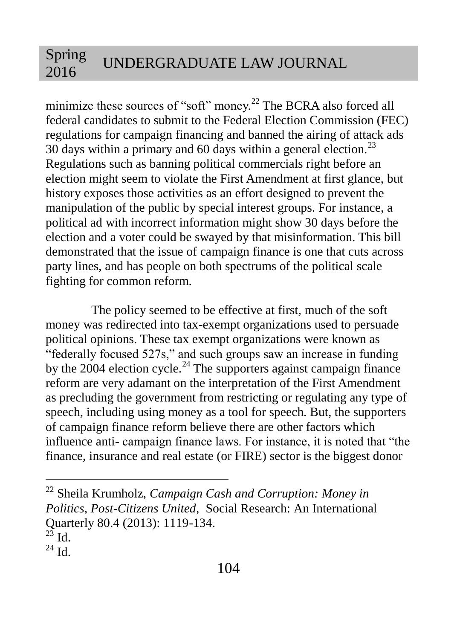minimize these sources of "soft" money.<sup>22</sup> The BCRA also forced all federal candidates to submit to the Federal Election Commission (FEC) regulations for campaign financing and banned the airing of attack ads 30 days within a primary and 60 days within a general election.<sup>23</sup> Regulations such as banning political commercials right before an election might seem to violate the First Amendment at first glance, but history exposes those activities as an effort designed to prevent the manipulation of the public by special interest groups. For instance, a political ad with incorrect information might show 30 days before the election and a voter could be swayed by that misinformation. This bill demonstrated that the issue of campaign finance is one that cuts across party lines, and has people on both spectrums of the political scale fighting for common reform.

The policy seemed to be effective at first, much of the soft money was redirected into tax-exempt organizations used to persuade political opinions. These tax exempt organizations were known as "federally focused 527s," and such groups saw an increase in funding by the  $2004$  election cycle.<sup>24</sup> The supporters against campaign finance reform are very adamant on the interpretation of the First Amendment as precluding the government from restricting or regulating any type of speech, including using money as a tool for speech. But, the supporters of campaign finance reform believe there are other factors which influence anti- campaign finance laws. For instance, it is noted that "the finance, insurance and real estate (or FIRE) sector is the biggest donor

<sup>22</sup> Sheila Krumholz, *Campaign Cash and Corruption: Money in Politics, Post-Citizens United*, Social Research: An International Quarterly 80.4 (2013): 1119-134.

 $^{23}$  Id.

 $^{24}$  Id.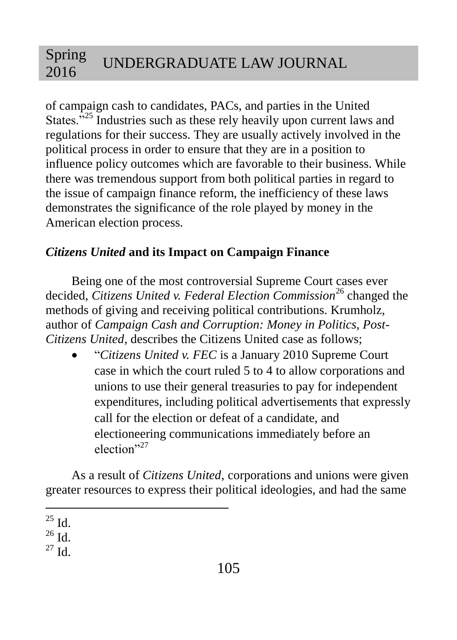of campaign cash to candidates, PACs, and parties in the United States."<sup>25</sup> Industries such as these rely heavily upon current laws and regulations for their success. They are usually actively involved in the political process in order to ensure that they are in a position to influence policy outcomes which are favorable to their business. While there was tremendous support from both political parties in regard to the issue of campaign finance reform, the inefficiency of these laws demonstrates the significance of the role played by money in the American election process.

# *Citizens United* **and its Impact on Campaign Finance**

Being one of the most controversial Supreme Court cases ever decided, *Citizens United v. Federal Election Commission*<sup>26</sup> changed the methods of giving and receiving political contributions. Krumholz, author of *Campaign Cash and Corruption: Money in Politics, Post-Citizens United*, describes the Citizens United case as follows;

 "*Citizens United v. FEC* is a January 2010 Supreme Court case in which the court ruled 5 to 4 to allow corporations and unions to use their general treasuries to pay for independent expenditures, including political advertisements that expressly call for the election or defeat of a candidate, and electioneering communications immediately before an election"<sup>27</sup>

As a result of *Citizens United*, corporations and unions were given greater resources to express their political ideologies, and had the same

 $\overline{a}$  $^{25}$  Id.

 $^{26}$  Id.

 $^{27}$  Id.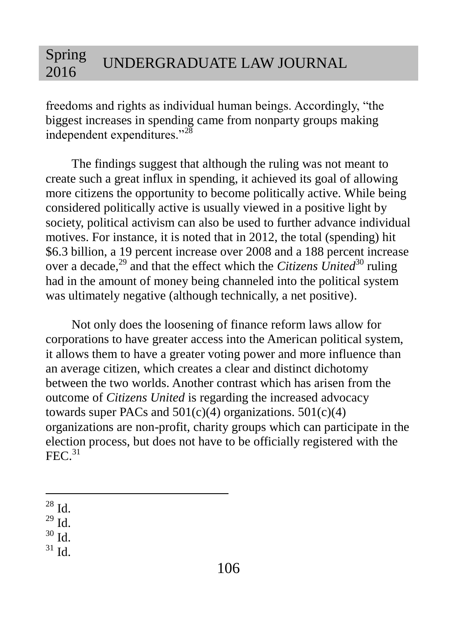freedoms and rights as individual human beings. Accordingly, "the biggest increases in spending came from nonparty groups making independent expenditures."<sup>28</sup>

The findings suggest that although the ruling was not meant to create such a great influx in spending, it achieved its goal of allowing more citizens the opportunity to become politically active. While being considered politically active is usually viewed in a positive light by society, political activism can also be used to further advance individual motives. For instance, it is noted that in 2012, the total (spending) hit \$6.3 billion, a 19 percent increase over 2008 and a 188 percent increase over a decade,<sup>29</sup> and that the effect which the *Citizens United*<sup>30</sup> ruling had in the amount of money being channeled into the political system was ultimately negative (although technically, a net positive).

Not only does the loosening of finance reform laws allow for corporations to have greater access into the American political system, it allows them to have a greater voting power and more influence than an average citizen, which creates a clear and distinct dichotomy between the two worlds. Another contrast which has arisen from the outcome of *Citizens United* is regarding the increased advocacy towards super PACs and  $501(c)(4)$  organizations.  $501(c)(4)$ organizations are non-profit, charity groups which can participate in the election process, but does not have to be officially registered with the  $FEC<sup>31</sup>$ 

 $\overline{a}$  $28$  Id.

 $^{29}$  Id.

 $30$  Id.

 $31$  Id.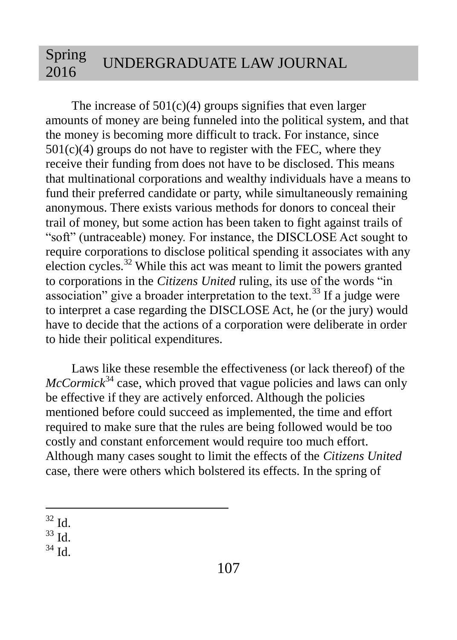The increase of  $501(c)(4)$  groups signifies that even larger amounts of money are being funneled into the political system, and that the money is becoming more difficult to track. For instance, since  $501(c)(4)$  groups do not have to register with the FEC, where they receive their funding from does not have to be disclosed. This means that multinational corporations and wealthy individuals have a means to fund their preferred candidate or party, while simultaneously remaining anonymous. There exists various methods for donors to conceal their trail of money, but some action has been taken to fight against trails of "soft" (untraceable) money. For instance, the DISCLOSE Act sought to require corporations to disclose political spending it associates with any election cycles.<sup>32</sup> While this act was meant to limit the powers granted to corporations in the *Citizens United* ruling, its use of the words "in association" give a broader interpretation to the text.<sup>33</sup> If a judge were to interpret a case regarding the DISCLOSE Act, he (or the jury) would have to decide that the actions of a corporation were deliberate in order to hide their political expenditures.

Laws like these resemble the effectiveness (or lack thereof) of the  $McCormick<sup>34</sup> case, which proved that vague policies and laws can only$ be effective if they are actively enforced. Although the policies mentioned before could succeed as implemented, the time and effort required to make sure that the rules are being followed would be too costly and constant enforcement would require too much effort. Although many cases sought to limit the effects of the *Citizens United* case, there were others which bolstered its effects. In the spring of

 $\overline{a}$  $32 \text{ Id}$ 

 $33$  Id.

 $34$  Id.